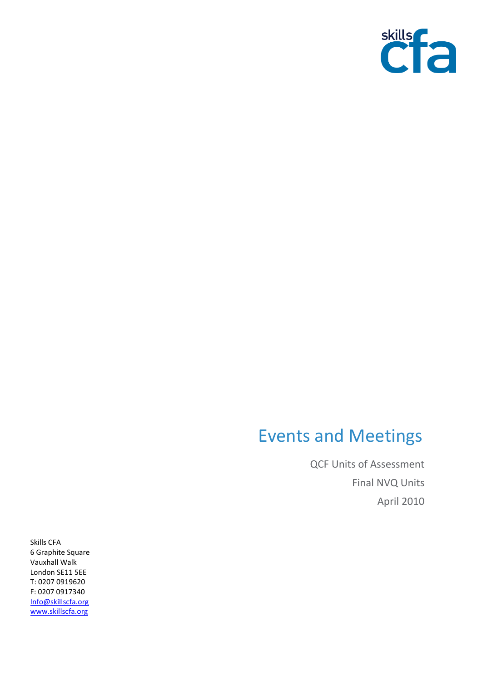

## Events and Meetings

QCF Units of Assessment Final NVQ Units April 2010

Skills CFA 6 Graphite Square Vauxhall Walk London SE11 5EE T: 0207 0919620 F: 0207 0917340 [Info@skillscfa.org](mailto:Info@skillscfa.org) [www.skillscfa.org](http://www.skillscfa.org/)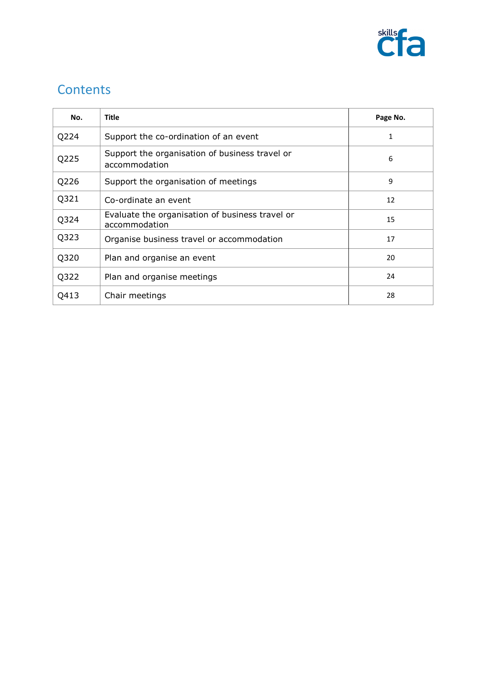

## **Contents**

| No.  | <b>Title</b>                                                         | Page No. |
|------|----------------------------------------------------------------------|----------|
| Q224 | Support the co-ordination of an event                                | 1        |
| Q225 | Support the organisation of business travel or<br>6<br>accommodation |          |
| Q226 | Support the organisation of meetings                                 | 9        |
| Q321 | Co-ordinate an event                                                 | 12       |
| Q324 | Evaluate the organisation of business travel or<br>accommodation     | 15       |
| Q323 | Organise business travel or accommodation                            | 17       |
| Q320 | Plan and organise an event                                           | 20       |
| Q322 | Plan and organise meetings                                           | 24       |
| Q413 | Chair meetings                                                       | 28       |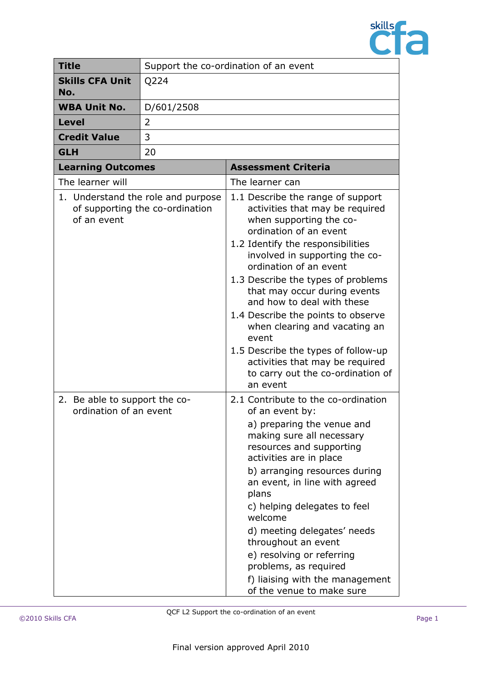

| <b>Title</b>                                                                         | Support the co-ordination of an event |                                                                                                                                                                                                                                                                                                                                                                                                                                                                                                                                           |  |
|--------------------------------------------------------------------------------------|---------------------------------------|-------------------------------------------------------------------------------------------------------------------------------------------------------------------------------------------------------------------------------------------------------------------------------------------------------------------------------------------------------------------------------------------------------------------------------------------------------------------------------------------------------------------------------------------|--|
| <b>Skills CFA Unit</b><br>No.                                                        | Q224                                  |                                                                                                                                                                                                                                                                                                                                                                                                                                                                                                                                           |  |
| <b>WBA Unit No.</b>                                                                  | D/601/2508                            |                                                                                                                                                                                                                                                                                                                                                                                                                                                                                                                                           |  |
| <b>Level</b>                                                                         | $\overline{2}$                        |                                                                                                                                                                                                                                                                                                                                                                                                                                                                                                                                           |  |
| <b>Credit Value</b>                                                                  | 3                                     |                                                                                                                                                                                                                                                                                                                                                                                                                                                                                                                                           |  |
| <b>GLH</b>                                                                           | 20                                    |                                                                                                                                                                                                                                                                                                                                                                                                                                                                                                                                           |  |
| <b>Learning Outcomes</b>                                                             |                                       | <b>Assessment Criteria</b>                                                                                                                                                                                                                                                                                                                                                                                                                                                                                                                |  |
| The learner will                                                                     |                                       | The learner can                                                                                                                                                                                                                                                                                                                                                                                                                                                                                                                           |  |
| 1. Understand the role and purpose<br>of supporting the co-ordination<br>of an event |                                       | 1.1 Describe the range of support<br>activities that may be required<br>when supporting the co-<br>ordination of an event<br>1.2 Identify the responsibilities<br>involved in supporting the co-<br>ordination of an event<br>1.3 Describe the types of problems<br>that may occur during events<br>and how to deal with these<br>1.4 Describe the points to observe<br>when clearing and vacating an<br>event<br>1.5 Describe the types of follow-up<br>activities that may be required<br>to carry out the co-ordination of<br>an event |  |
| 2. Be able to support the co-<br>ordination of an event                              |                                       | 2.1 Contribute to the co-ordination<br>of an event by:<br>a) preparing the venue and<br>making sure all necessary<br>resources and supporting<br>activities are in place<br>b) arranging resources during<br>an event, in line with agreed<br>plans<br>c) helping delegates to feel<br>welcome<br>d) meeting delegates' needs<br>throughout an event<br>e) resolving or referring<br>problems, as required<br>f) liaising with the management<br>of the venue to make sure                                                                |  |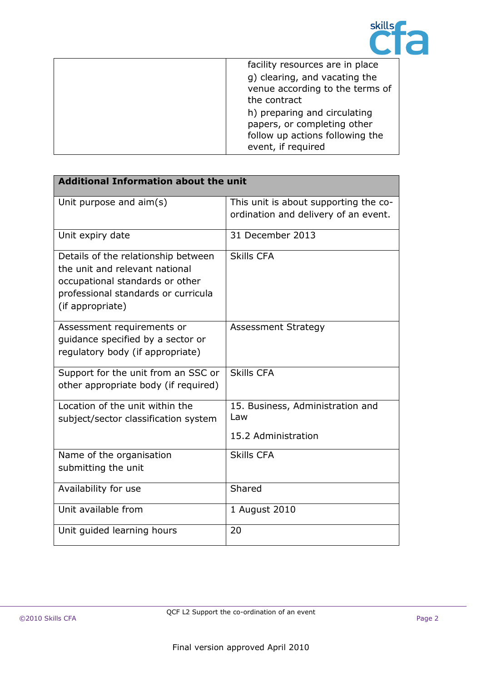

| facility resources are in place                                                                                      |
|----------------------------------------------------------------------------------------------------------------------|
| g) clearing, and vacating the<br>venue according to the terms of<br>the contract                                     |
| h) preparing and circulating<br>papers, or completing other<br>follow up actions following the<br>event, if required |

| <b>Additional Information about the unit</b>                                                                                                                        |                                                                               |
|---------------------------------------------------------------------------------------------------------------------------------------------------------------------|-------------------------------------------------------------------------------|
| Unit purpose and aim(s)                                                                                                                                             | This unit is about supporting the co-<br>ordination and delivery of an event. |
| Unit expiry date                                                                                                                                                    | 31 December 2013                                                              |
| Details of the relationship between<br>the unit and relevant national<br>occupational standards or other<br>professional standards or curricula<br>(if appropriate) | <b>Skills CFA</b>                                                             |
| Assessment requirements or<br>quidance specified by a sector or<br>regulatory body (if appropriate)                                                                 | <b>Assessment Strategy</b>                                                    |
| Support for the unit from an SSC or<br>other appropriate body (if required)                                                                                         | <b>Skills CFA</b>                                                             |
| Location of the unit within the<br>subject/sector classification system                                                                                             | 15. Business, Administration and<br>Law                                       |
|                                                                                                                                                                     | 15.2 Administration                                                           |
| Name of the organisation<br>submitting the unit                                                                                                                     | <b>Skills CFA</b>                                                             |
| Availability for use                                                                                                                                                | Shared                                                                        |
| Unit available from                                                                                                                                                 | 1 August 2010                                                                 |
| Unit guided learning hours                                                                                                                                          | 20                                                                            |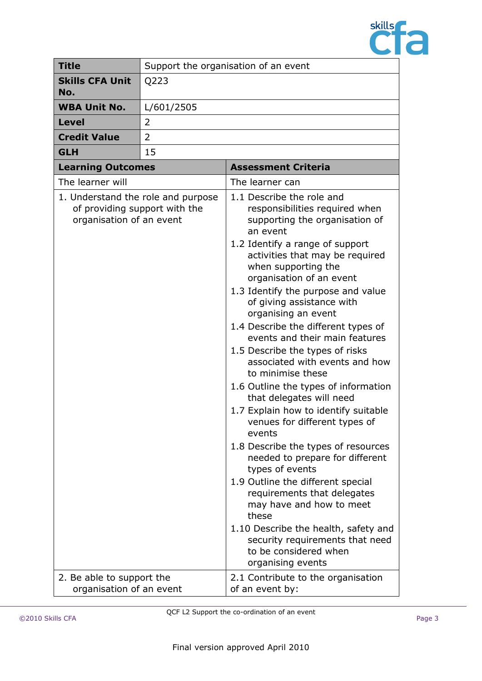

| <b>Title</b>                                                                                    | Support the organisation of an event |                                                                                                                                                                                                                                                                                                                                                                                                                                                                                                                                                                                                                                                                                                                                                                                                                                                                                                                                                                                       |
|-------------------------------------------------------------------------------------------------|--------------------------------------|---------------------------------------------------------------------------------------------------------------------------------------------------------------------------------------------------------------------------------------------------------------------------------------------------------------------------------------------------------------------------------------------------------------------------------------------------------------------------------------------------------------------------------------------------------------------------------------------------------------------------------------------------------------------------------------------------------------------------------------------------------------------------------------------------------------------------------------------------------------------------------------------------------------------------------------------------------------------------------------|
| <b>Skills CFA Unit</b><br>No.                                                                   | Q223                                 |                                                                                                                                                                                                                                                                                                                                                                                                                                                                                                                                                                                                                                                                                                                                                                                                                                                                                                                                                                                       |
| <b>WBA Unit No.</b>                                                                             | L/601/2505                           |                                                                                                                                                                                                                                                                                                                                                                                                                                                                                                                                                                                                                                                                                                                                                                                                                                                                                                                                                                                       |
| Level                                                                                           | 2                                    |                                                                                                                                                                                                                                                                                                                                                                                                                                                                                                                                                                                                                                                                                                                                                                                                                                                                                                                                                                                       |
| <b>Credit Value</b>                                                                             | 2                                    |                                                                                                                                                                                                                                                                                                                                                                                                                                                                                                                                                                                                                                                                                                                                                                                                                                                                                                                                                                                       |
| <b>GLH</b>                                                                                      | 15                                   |                                                                                                                                                                                                                                                                                                                                                                                                                                                                                                                                                                                                                                                                                                                                                                                                                                                                                                                                                                                       |
| <b>Learning Outcomes</b>                                                                        |                                      | <b>Assessment Criteria</b>                                                                                                                                                                                                                                                                                                                                                                                                                                                                                                                                                                                                                                                                                                                                                                                                                                                                                                                                                            |
| The learner will                                                                                |                                      | The learner can                                                                                                                                                                                                                                                                                                                                                                                                                                                                                                                                                                                                                                                                                                                                                                                                                                                                                                                                                                       |
| 1. Understand the role and purpose<br>of providing support with the<br>organisation of an event |                                      | 1.1 Describe the role and<br>responsibilities required when<br>supporting the organisation of<br>an event<br>1.2 Identify a range of support<br>activities that may be required<br>when supporting the<br>organisation of an event<br>1.3 Identify the purpose and value<br>of giving assistance with<br>organising an event<br>1.4 Describe the different types of<br>events and their main features<br>1.5 Describe the types of risks<br>associated with events and how<br>to minimise these<br>1.6 Outline the types of information<br>that delegates will need<br>1.7 Explain how to identify suitable<br>venues for different types of<br>events<br>1.8 Describe the types of resources<br>needed to prepare for different<br>types of events<br>1.9 Outline the different special<br>requirements that delegates<br>may have and how to meet<br>these<br>1.10 Describe the health, safety and<br>security requirements that need<br>to be considered when<br>organising events |
| 2. Be able to support the<br>organisation of an event                                           |                                      | 2.1 Contribute to the organisation<br>of an event by:                                                                                                                                                                                                                                                                                                                                                                                                                                                                                                                                                                                                                                                                                                                                                                                                                                                                                                                                 |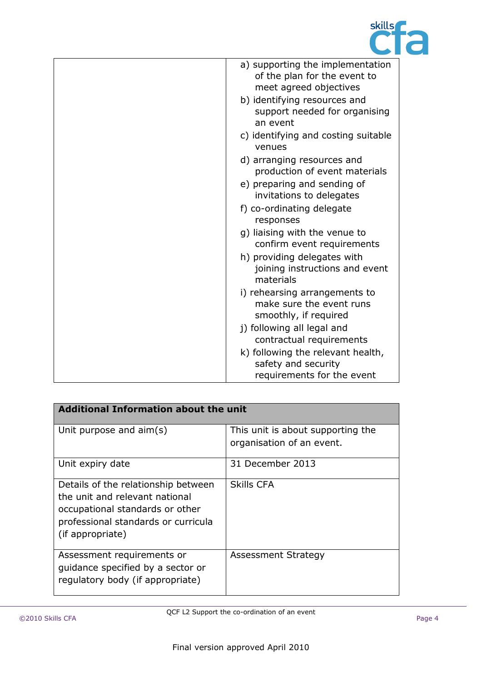

| a) supporting the implementation<br>of the plan for the event to<br>meet agreed objectives |
|--------------------------------------------------------------------------------------------|
| b) identifying resources and<br>support needed for organising<br>an event                  |
| c) identifying and costing suitable<br>venues                                              |
| d) arranging resources and<br>production of event materials                                |
| e) preparing and sending of<br>invitations to delegates                                    |
| f) co-ordinating delegate<br>responses                                                     |
| g) liaising with the venue to<br>confirm event requirements                                |
| h) providing delegates with<br>joining instructions and event<br>materials                 |
| i) rehearsing arrangements to<br>make sure the event runs<br>smoothly, if required         |
| j) following all legal and<br>contractual requirements                                     |
| k) following the relevant health,<br>safety and security<br>requirements for the event     |

| <b>Additional Information about the unit</b>                                                                                                                        |                                                                |  |
|---------------------------------------------------------------------------------------------------------------------------------------------------------------------|----------------------------------------------------------------|--|
| Unit purpose and $aim(s)$                                                                                                                                           | This unit is about supporting the<br>organisation of an event. |  |
| Unit expiry date                                                                                                                                                    | 31 December 2013                                               |  |
| Details of the relationship between<br>the unit and relevant national<br>occupational standards or other<br>professional standards or curricula<br>(if appropriate) | <b>Skills CFA</b>                                              |  |
| Assessment requirements or<br>quidance specified by a sector or<br>regulatory body (if appropriate)                                                                 | Assessment Strategy                                            |  |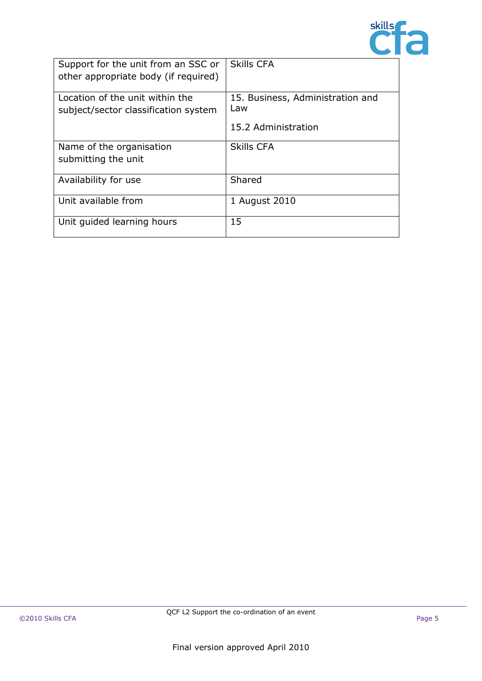

| Support for the unit from an SSC or<br>other appropriate body (if required) | <b>Skills CFA</b>                       |
|-----------------------------------------------------------------------------|-----------------------------------------|
| Location of the unit within the<br>subject/sector classification system     | 15. Business, Administration and<br>Law |
|                                                                             | 15.2 Administration                     |
| Name of the organisation<br>submitting the unit                             | <b>Skills CFA</b>                       |
| Availability for use                                                        | Shared                                  |
| Unit available from                                                         | 1 August 2010                           |
| Unit guided learning hours                                                  | 15                                      |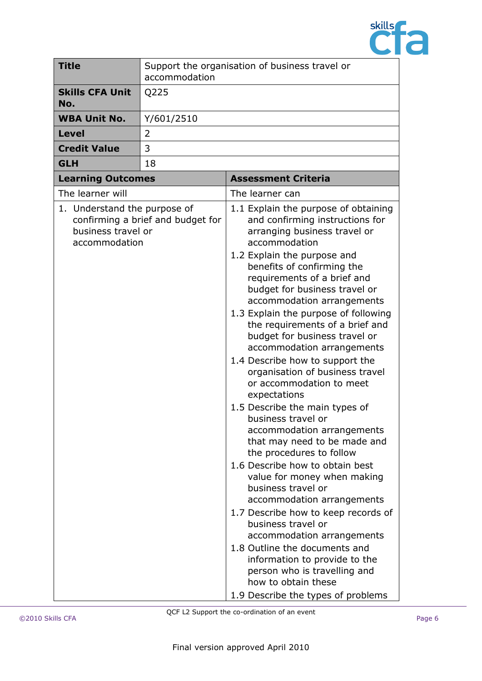

| <b>Title</b><br>accommodation                                       |                                   | Support the organisation of business travel or                                                                                                                                                                                                                                                                                                                                                                                                                                                                                                                                                                                                                                                                                                                                                                                                                                                                                                                                                                                                                                    |  |
|---------------------------------------------------------------------|-----------------------------------|-----------------------------------------------------------------------------------------------------------------------------------------------------------------------------------------------------------------------------------------------------------------------------------------------------------------------------------------------------------------------------------------------------------------------------------------------------------------------------------------------------------------------------------------------------------------------------------------------------------------------------------------------------------------------------------------------------------------------------------------------------------------------------------------------------------------------------------------------------------------------------------------------------------------------------------------------------------------------------------------------------------------------------------------------------------------------------------|--|
| <b>Skills CFA Unit</b><br>No.                                       | Q225                              |                                                                                                                                                                                                                                                                                                                                                                                                                                                                                                                                                                                                                                                                                                                                                                                                                                                                                                                                                                                                                                                                                   |  |
| <b>WBA Unit No.</b>                                                 | Y/601/2510                        |                                                                                                                                                                                                                                                                                                                                                                                                                                                                                                                                                                                                                                                                                                                                                                                                                                                                                                                                                                                                                                                                                   |  |
| <b>Level</b>                                                        | 2                                 |                                                                                                                                                                                                                                                                                                                                                                                                                                                                                                                                                                                                                                                                                                                                                                                                                                                                                                                                                                                                                                                                                   |  |
| <b>Credit Value</b>                                                 | 3                                 |                                                                                                                                                                                                                                                                                                                                                                                                                                                                                                                                                                                                                                                                                                                                                                                                                                                                                                                                                                                                                                                                                   |  |
| <b>GLH</b>                                                          | 18                                |                                                                                                                                                                                                                                                                                                                                                                                                                                                                                                                                                                                                                                                                                                                                                                                                                                                                                                                                                                                                                                                                                   |  |
| <b>Learning Outcomes</b>                                            |                                   | <b>Assessment Criteria</b>                                                                                                                                                                                                                                                                                                                                                                                                                                                                                                                                                                                                                                                                                                                                                                                                                                                                                                                                                                                                                                                        |  |
| The learner will                                                    |                                   | The learner can                                                                                                                                                                                                                                                                                                                                                                                                                                                                                                                                                                                                                                                                                                                                                                                                                                                                                                                                                                                                                                                                   |  |
| 1. Understand the purpose of<br>business travel or<br>accommodation | confirming a brief and budget for | 1.1 Explain the purpose of obtaining<br>and confirming instructions for<br>arranging business travel or<br>accommodation<br>1.2 Explain the purpose and<br>benefits of confirming the<br>requirements of a brief and<br>budget for business travel or<br>accommodation arrangements<br>1.3 Explain the purpose of following<br>the requirements of a brief and<br>budget for business travel or<br>accommodation arrangements<br>1.4 Describe how to support the<br>organisation of business travel<br>or accommodation to meet<br>expectations<br>1.5 Describe the main types of<br>business travel or<br>accommodation arrangements<br>that may need to be made and<br>the procedures to follow<br>1.6 Describe how to obtain best<br>value for money when making<br>business travel or<br>accommodation arrangements<br>1.7 Describe how to keep records of<br>business travel or<br>accommodation arrangements<br>1.8 Outline the documents and<br>information to provide to the<br>person who is travelling and<br>how to obtain these<br>1.9 Describe the types of problems |  |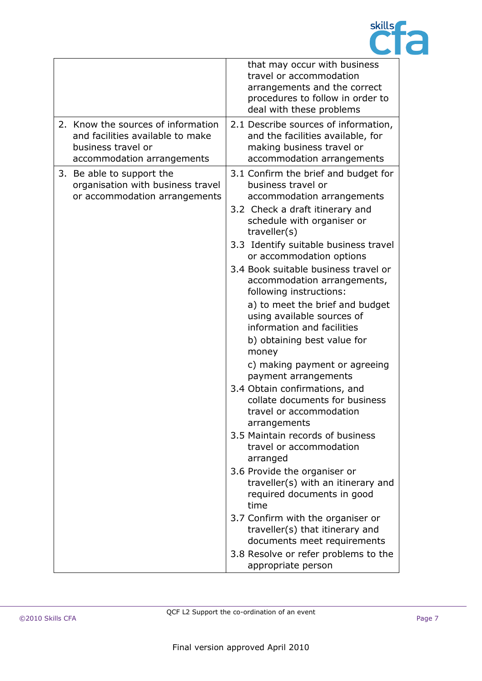

|                                                                                                                            | that may occur with business<br>travel or accommodation<br>arrangements and the correct<br>procedures to follow in order to<br>deal with these problems                                                                                                                                                                                                                                                                                                                                                                                                                                                                                                                                                                                                                                                                                                                                                                                                                                              |
|----------------------------------------------------------------------------------------------------------------------------|------------------------------------------------------------------------------------------------------------------------------------------------------------------------------------------------------------------------------------------------------------------------------------------------------------------------------------------------------------------------------------------------------------------------------------------------------------------------------------------------------------------------------------------------------------------------------------------------------------------------------------------------------------------------------------------------------------------------------------------------------------------------------------------------------------------------------------------------------------------------------------------------------------------------------------------------------------------------------------------------------|
| 2. Know the sources of information<br>and facilities available to make<br>business travel or<br>accommodation arrangements | 2.1 Describe sources of information,<br>and the facilities available, for<br>making business travel or<br>accommodation arrangements                                                                                                                                                                                                                                                                                                                                                                                                                                                                                                                                                                                                                                                                                                                                                                                                                                                                 |
| 3. Be able to support the<br>organisation with business travel<br>or accommodation arrangements                            | 3.1 Confirm the brief and budget for<br>business travel or<br>accommodation arrangements<br>3.2 Check a draft itinerary and<br>schedule with organiser or<br>traveller(s)<br>3.3 Identify suitable business travel<br>or accommodation options<br>3.4 Book suitable business travel or<br>accommodation arrangements,<br>following instructions:<br>a) to meet the brief and budget<br>using available sources of<br>information and facilities<br>b) obtaining best value for<br>money<br>c) making payment or agreeing<br>payment arrangements<br>3.4 Obtain confirmations, and<br>collate documents for business<br>travel or accommodation<br>arrangements<br>3.5 Maintain records of business<br>travel or accommodation<br>arranged<br>3.6 Provide the organiser or<br>traveller(s) with an itinerary and<br>required documents in good<br>time<br>3.7 Confirm with the organiser or<br>traveller(s) that itinerary and<br>documents meet requirements<br>3.8 Resolve or refer problems to the |
|                                                                                                                            | appropriate person                                                                                                                                                                                                                                                                                                                                                                                                                                                                                                                                                                                                                                                                                                                                                                                                                                                                                                                                                                                   |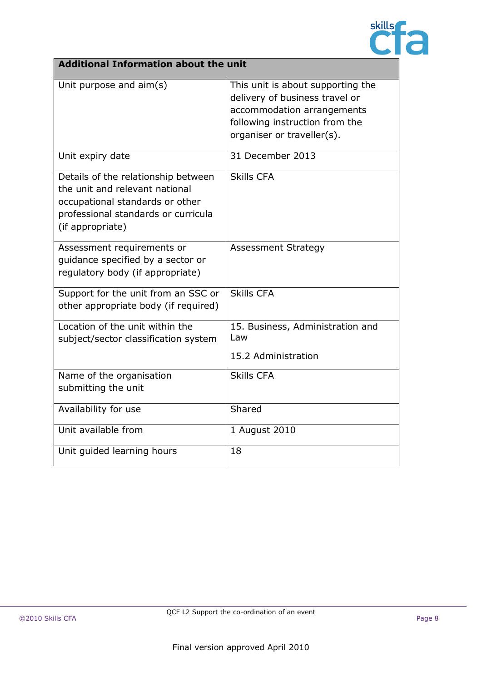

| <b>Additional Information about the unit</b>                                                                                                                        |                                                                                                                                                                   |  |
|---------------------------------------------------------------------------------------------------------------------------------------------------------------------|-------------------------------------------------------------------------------------------------------------------------------------------------------------------|--|
| Unit purpose and aim(s)                                                                                                                                             | This unit is about supporting the<br>delivery of business travel or<br>accommodation arrangements<br>following instruction from the<br>organiser or traveller(s). |  |
| Unit expiry date                                                                                                                                                    | 31 December 2013                                                                                                                                                  |  |
| Details of the relationship between<br>the unit and relevant national<br>occupational standards or other<br>professional standards or curricula<br>(if appropriate) | <b>Skills CFA</b>                                                                                                                                                 |  |
| Assessment requirements or<br>guidance specified by a sector or<br>regulatory body (if appropriate)                                                                 | <b>Assessment Strategy</b>                                                                                                                                        |  |
| Support for the unit from an SSC or<br>other appropriate body (if required)                                                                                         | <b>Skills CFA</b>                                                                                                                                                 |  |
| Location of the unit within the<br>subject/sector classification system                                                                                             | 15. Business, Administration and<br>Law<br>15.2 Administration                                                                                                    |  |
| Name of the organisation<br>submitting the unit                                                                                                                     | <b>Skills CFA</b>                                                                                                                                                 |  |
| Availability for use                                                                                                                                                | Shared                                                                                                                                                            |  |
| Unit available from                                                                                                                                                 | 1 August 2010                                                                                                                                                     |  |
| Unit guided learning hours                                                                                                                                          | 18                                                                                                                                                                |  |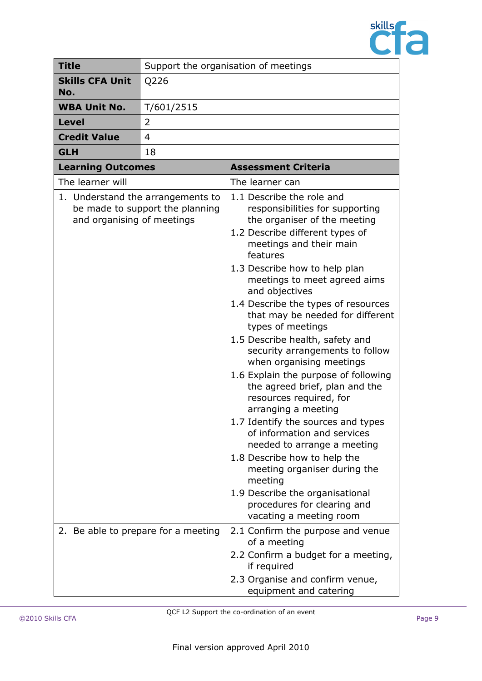

| <b>Title</b>                                                                                                           |                          | Support the organisation of meetings |                                                                                                                                                                                                                                                                                                                                                                                                                                                                                                                                                                                                                                                                                                                                                                                                                                                                     |  |
|------------------------------------------------------------------------------------------------------------------------|--------------------------|--------------------------------------|---------------------------------------------------------------------------------------------------------------------------------------------------------------------------------------------------------------------------------------------------------------------------------------------------------------------------------------------------------------------------------------------------------------------------------------------------------------------------------------------------------------------------------------------------------------------------------------------------------------------------------------------------------------------------------------------------------------------------------------------------------------------------------------------------------------------------------------------------------------------|--|
| <b>Skills CFA Unit</b><br>No.                                                                                          |                          | Q226                                 |                                                                                                                                                                                                                                                                                                                                                                                                                                                                                                                                                                                                                                                                                                                                                                                                                                                                     |  |
| <b>WBA Unit No.</b>                                                                                                    |                          | T/601/2515                           |                                                                                                                                                                                                                                                                                                                                                                                                                                                                                                                                                                                                                                                                                                                                                                                                                                                                     |  |
| <b>Level</b>                                                                                                           |                          | 2                                    |                                                                                                                                                                                                                                                                                                                                                                                                                                                                                                                                                                                                                                                                                                                                                                                                                                                                     |  |
|                                                                                                                        | <b>Credit Value</b>      | 4                                    |                                                                                                                                                                                                                                                                                                                                                                                                                                                                                                                                                                                                                                                                                                                                                                                                                                                                     |  |
|                                                                                                                        | <b>GLH</b>               | 18                                   |                                                                                                                                                                                                                                                                                                                                                                                                                                                                                                                                                                                                                                                                                                                                                                                                                                                                     |  |
|                                                                                                                        | <b>Learning Outcomes</b> |                                      | <b>Assessment Criteria</b>                                                                                                                                                                                                                                                                                                                                                                                                                                                                                                                                                                                                                                                                                                                                                                                                                                          |  |
|                                                                                                                        |                          |                                      | The learner can                                                                                                                                                                                                                                                                                                                                                                                                                                                                                                                                                                                                                                                                                                                                                                                                                                                     |  |
| The learner will<br>1. Understand the arrangements to<br>be made to support the planning<br>and organising of meetings |                          |                                      | 1.1 Describe the role and<br>responsibilities for supporting<br>the organiser of the meeting<br>1.2 Describe different types of<br>meetings and their main<br>features<br>1.3 Describe how to help plan<br>meetings to meet agreed aims<br>and objectives<br>1.4 Describe the types of resources<br>that may be needed for different<br>types of meetings<br>1.5 Describe health, safety and<br>security arrangements to follow<br>when organising meetings<br>1.6 Explain the purpose of following<br>the agreed brief, plan and the<br>resources required, for<br>arranging a meeting<br>1.7 Identify the sources and types<br>of information and services<br>needed to arrange a meeting<br>1.8 Describe how to help the<br>meeting organiser during the<br>meeting<br>1.9 Describe the organisational<br>procedures for clearing and<br>vacating a meeting room |  |
|                                                                                                                        |                          | 2. Be able to prepare for a meeting  | 2.1 Confirm the purpose and venue<br>of a meeting<br>2.2 Confirm a budget for a meeting,<br>if required<br>2.3 Organise and confirm venue,<br>equipment and catering                                                                                                                                                                                                                                                                                                                                                                                                                                                                                                                                                                                                                                                                                                |  |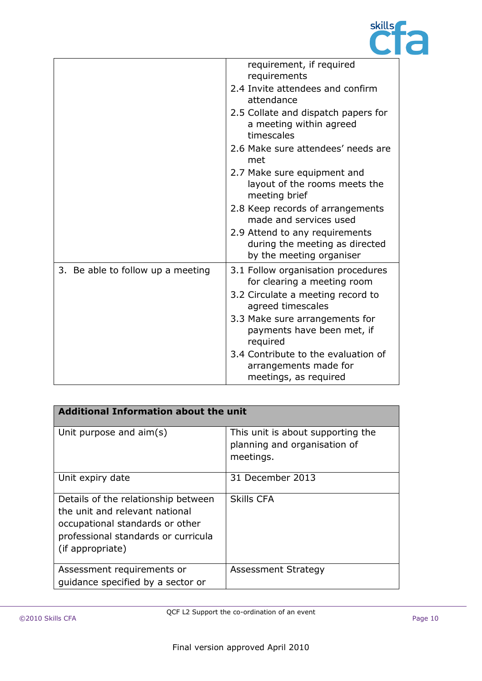

|                                   | requirement, if required<br>requirements                                                     |
|-----------------------------------|----------------------------------------------------------------------------------------------|
|                                   | 2.4 Invite attendees and confirm<br>attendance                                               |
|                                   | 2.5 Collate and dispatch papers for<br>a meeting within agreed<br>timescales                 |
|                                   | 2.6 Make sure attendees' needs are<br>met                                                    |
|                                   | 2.7 Make sure equipment and<br>layout of the rooms meets the<br>meeting brief                |
|                                   | 2.8 Keep records of arrangements<br>made and services used                                   |
|                                   | 2.9 Attend to any requirements<br>during the meeting as directed<br>by the meeting organiser |
| 3. Be able to follow up a meeting | 3.1 Follow organisation procedures<br>for clearing a meeting room                            |
|                                   | 3.2 Circulate a meeting record to<br>agreed timescales                                       |
|                                   | 3.3 Make sure arrangements for<br>payments have been met, if<br>required                     |
|                                   | 3.4 Contribute to the evaluation of<br>arrangements made for<br>meetings, as required        |

| <b>Additional Information about the unit</b>                                                                                                                        |                                                                                |  |
|---------------------------------------------------------------------------------------------------------------------------------------------------------------------|--------------------------------------------------------------------------------|--|
| Unit purpose and $\text{aim}(s)$                                                                                                                                    | This unit is about supporting the<br>planning and organisation of<br>meetings. |  |
| Unit expiry date                                                                                                                                                    | 31 December 2013                                                               |  |
| Details of the relationship between<br>the unit and relevant national<br>occupational standards or other<br>professional standards or curricula<br>(if appropriate) | <b>Skills CFA</b>                                                              |  |
| Assessment requirements or<br>quidance specified by a sector or                                                                                                     | <b>Assessment Strategy</b>                                                     |  |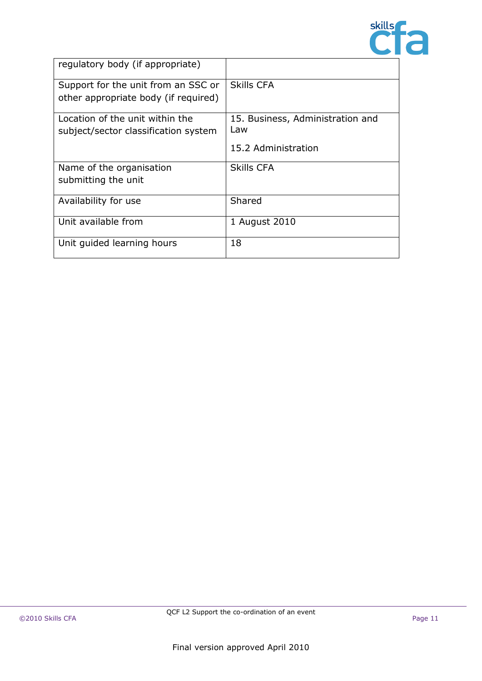

| regulatory body (if appropriate)     |                                  |
|--------------------------------------|----------------------------------|
| Support for the unit from an SSC or  | Skills CFA                       |
| other appropriate body (if required) |                                  |
| Location of the unit within the      | 15. Business, Administration and |
| subject/sector classification system | Law                              |
|                                      | 15.2 Administration              |
| Name of the organisation             | Skills CFA                       |
| submitting the unit                  |                                  |
| Availability for use                 | Shared                           |
| Unit available from                  | 1 August 2010                    |
| Unit guided learning hours           | 18                               |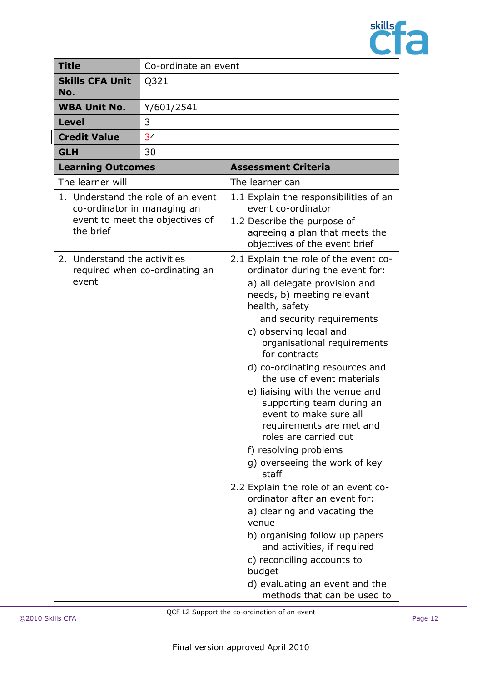

| <b>Title</b>                                                                   | Co-ordinate an event            |                                                                                                                                                                                                                                                                                                                                                                                                                                                                                                                                                                                                                                                                                                                                                                                                                                               |
|--------------------------------------------------------------------------------|---------------------------------|-----------------------------------------------------------------------------------------------------------------------------------------------------------------------------------------------------------------------------------------------------------------------------------------------------------------------------------------------------------------------------------------------------------------------------------------------------------------------------------------------------------------------------------------------------------------------------------------------------------------------------------------------------------------------------------------------------------------------------------------------------------------------------------------------------------------------------------------------|
| <b>Skills CFA Unit</b><br>No.                                                  | Q321                            |                                                                                                                                                                                                                                                                                                                                                                                                                                                                                                                                                                                                                                                                                                                                                                                                                                               |
| <b>WBA Unit No.</b>                                                            | Y/601/2541                      |                                                                                                                                                                                                                                                                                                                                                                                                                                                                                                                                                                                                                                                                                                                                                                                                                                               |
| Level                                                                          | 3                               |                                                                                                                                                                                                                                                                                                                                                                                                                                                                                                                                                                                                                                                                                                                                                                                                                                               |
| <b>Credit Value</b>                                                            | $-34$                           |                                                                                                                                                                                                                                                                                                                                                                                                                                                                                                                                                                                                                                                                                                                                                                                                                                               |
| <b>GLH</b>                                                                     | 30                              |                                                                                                                                                                                                                                                                                                                                                                                                                                                                                                                                                                                                                                                                                                                                                                                                                                               |
| <b>Learning Outcomes</b>                                                       |                                 | <b>Assessment Criteria</b>                                                                                                                                                                                                                                                                                                                                                                                                                                                                                                                                                                                                                                                                                                                                                                                                                    |
| The learner will                                                               |                                 | The learner can                                                                                                                                                                                                                                                                                                                                                                                                                                                                                                                                                                                                                                                                                                                                                                                                                               |
| 1. Understand the role of an event<br>co-ordinator in managing an<br>the brief | event to meet the objectives of | 1.1 Explain the responsibilities of an<br>event co-ordinator<br>1.2 Describe the purpose of<br>agreeing a plan that meets the<br>objectives of the event brief                                                                                                                                                                                                                                                                                                                                                                                                                                                                                                                                                                                                                                                                                |
| 2. Understand the activities<br>event                                          | required when co-ordinating an  | 2.1 Explain the role of the event co-<br>ordinator during the event for:<br>a) all delegate provision and<br>needs, b) meeting relevant<br>health, safety<br>and security requirements<br>c) observing legal and<br>organisational requirements<br>for contracts<br>d) co-ordinating resources and<br>the use of event materials<br>e) liaising with the venue and<br>supporting team during an<br>event to make sure all<br>requirements are met and<br>roles are carried out<br>f) resolving problems<br>g) overseeing the work of key<br>staff<br>2.2 Explain the role of an event co-<br>ordinator after an event for:<br>a) clearing and vacating the<br>venue<br>b) organising follow up papers<br>and activities, if required<br>c) reconciling accounts to<br>budget<br>d) evaluating an event and the<br>methods that can be used to |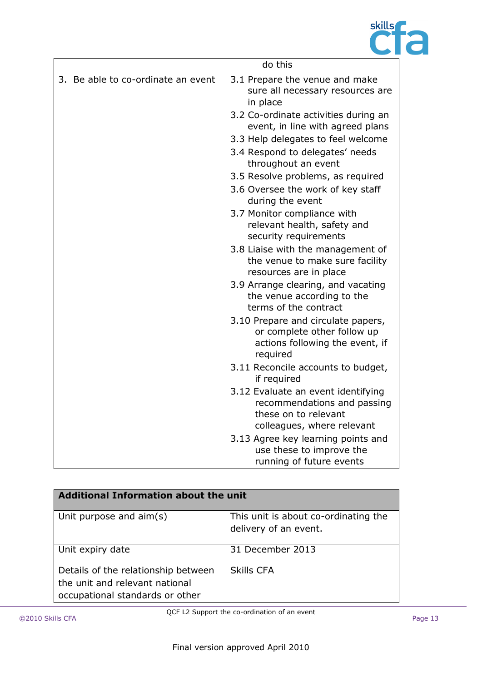

|                                    | do this                                                                                                                 |
|------------------------------------|-------------------------------------------------------------------------------------------------------------------------|
| 3. Be able to co-ordinate an event | 3.1 Prepare the venue and make<br>sure all necessary resources are<br>in place                                          |
|                                    | 3.2 Co-ordinate activities during an<br>event, in line with agreed plans                                                |
|                                    | 3.3 Help delegates to feel welcome                                                                                      |
|                                    | 3.4 Respond to delegates' needs<br>throughout an event                                                                  |
|                                    | 3.5 Resolve problems, as required                                                                                       |
|                                    | 3.6 Oversee the work of key staff<br>during the event                                                                   |
|                                    | 3.7 Monitor compliance with<br>relevant health, safety and<br>security requirements                                     |
|                                    | 3.8 Liaise with the management of<br>the venue to make sure facility<br>resources are in place                          |
|                                    | 3.9 Arrange clearing, and vacating<br>the venue according to the<br>terms of the contract                               |
|                                    | 3.10 Prepare and circulate papers,<br>or complete other follow up<br>actions following the event, if<br>required        |
|                                    | 3.11 Reconcile accounts to budget,<br>if required                                                                       |
|                                    | 3.12 Evaluate an event identifying<br>recommendations and passing<br>these on to relevant<br>colleagues, where relevant |
|                                    | 3.13 Agree key learning points and<br>use these to improve the<br>running of future events                              |

| <b>Additional Information about the unit</b>                                                             |                                                               |  |
|----------------------------------------------------------------------------------------------------------|---------------------------------------------------------------|--|
| Unit purpose and aim(s)                                                                                  | This unit is about co-ordinating the<br>delivery of an event. |  |
| Unit expiry date                                                                                         | 31 December 2013                                              |  |
| Details of the relationship between<br>the unit and relevant national<br>occupational standards or other | <b>Skills CFA</b>                                             |  |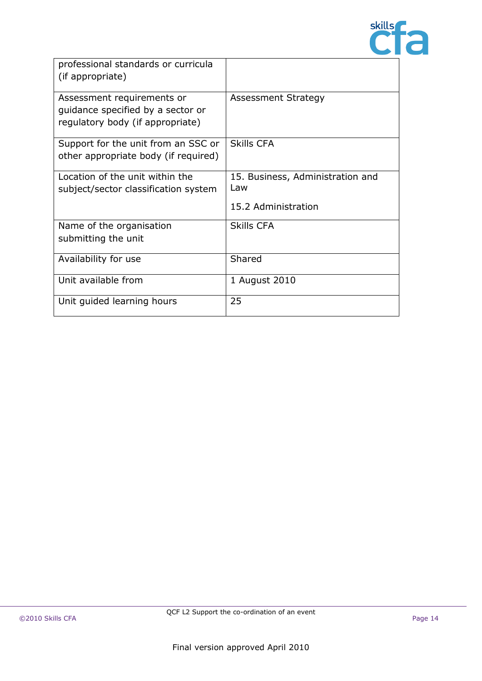

| professional standards or curricula<br>(if appropriate)                                             |                                                                |
|-----------------------------------------------------------------------------------------------------|----------------------------------------------------------------|
| Assessment requirements or<br>guidance specified by a sector or<br>regulatory body (if appropriate) | Assessment Strategy                                            |
| Support for the unit from an SSC or<br>other appropriate body (if required)                         | <b>Skills CFA</b>                                              |
| Location of the unit within the<br>subject/sector classification system                             | 15. Business, Administration and<br>Law<br>15.2 Administration |
| Name of the organisation<br>submitting the unit                                                     | <b>Skills CFA</b>                                              |
| Availability for use                                                                                | Shared                                                         |
| Unit available from                                                                                 | 1 August 2010                                                  |
| Unit guided learning hours                                                                          | 25                                                             |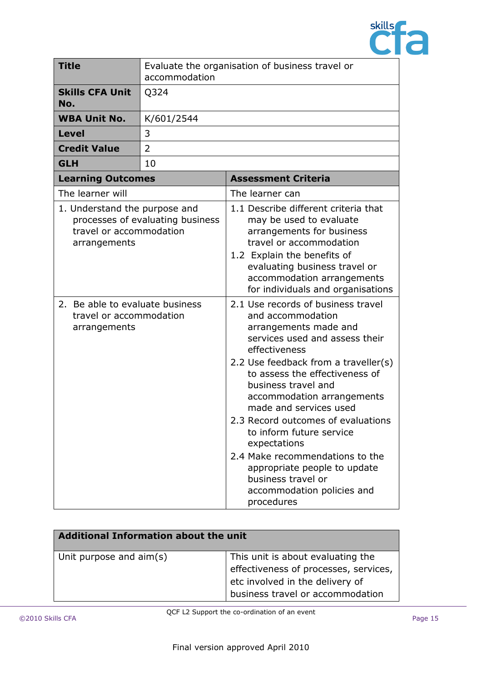

| <b>Title</b>                                                               | accommodation                    | Evaluate the organisation of business travel or                                                                                                                                                                                                                                                                                                                                                                                                                                                                     |
|----------------------------------------------------------------------------|----------------------------------|---------------------------------------------------------------------------------------------------------------------------------------------------------------------------------------------------------------------------------------------------------------------------------------------------------------------------------------------------------------------------------------------------------------------------------------------------------------------------------------------------------------------|
| <b>Skills CFA Unit</b><br>No.                                              | Q324                             |                                                                                                                                                                                                                                                                                                                                                                                                                                                                                                                     |
| <b>WBA Unit No.</b>                                                        | K/601/2544                       |                                                                                                                                                                                                                                                                                                                                                                                                                                                                                                                     |
| <b>Level</b>                                                               | 3                                |                                                                                                                                                                                                                                                                                                                                                                                                                                                                                                                     |
| <b>Credit Value</b>                                                        | $\overline{2}$                   |                                                                                                                                                                                                                                                                                                                                                                                                                                                                                                                     |
| <b>GLH</b>                                                                 | 10                               |                                                                                                                                                                                                                                                                                                                                                                                                                                                                                                                     |
| <b>Learning Outcomes</b>                                                   |                                  | <b>Assessment Criteria</b>                                                                                                                                                                                                                                                                                                                                                                                                                                                                                          |
| The learner will                                                           |                                  | The learner can                                                                                                                                                                                                                                                                                                                                                                                                                                                                                                     |
| 1. Understand the purpose and<br>travel or accommodation<br>arrangements   | processes of evaluating business | 1.1 Describe different criteria that<br>may be used to evaluate<br>arrangements for business<br>travel or accommodation<br>1.2 Explain the benefits of<br>evaluating business travel or<br>accommodation arrangements<br>for individuals and organisations                                                                                                                                                                                                                                                          |
| 2. Be able to evaluate business<br>travel or accommodation<br>arrangements |                                  | 2.1 Use records of business travel<br>and accommodation<br>arrangements made and<br>services used and assess their<br>effectiveness<br>2.2 Use feedback from a traveller(s)<br>to assess the effectiveness of<br>business travel and<br>accommodation arrangements<br>made and services used<br>2.3 Record outcomes of evaluations<br>to inform future service<br>expectations<br>2.4 Make recommendations to the<br>appropriate people to update<br>business travel or<br>accommodation policies and<br>procedures |

| <b>Additional Information about the unit</b> |                                                                                                                                                   |
|----------------------------------------------|---------------------------------------------------------------------------------------------------------------------------------------------------|
| Unit purpose and aim(s)                      | This unit is about evaluating the<br>effectiveness of processes, services,<br>etc involved in the delivery of<br>business travel or accommodation |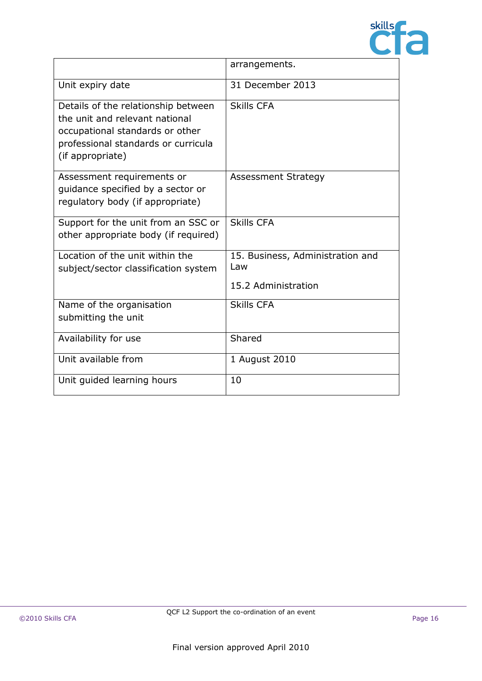

|                                                                                                                                                                     | arrangements.                                                  |
|---------------------------------------------------------------------------------------------------------------------------------------------------------------------|----------------------------------------------------------------|
| Unit expiry date                                                                                                                                                    | 31 December 2013                                               |
| Details of the relationship between<br>the unit and relevant national<br>occupational standards or other<br>professional standards or curricula<br>(if appropriate) | <b>Skills CFA</b>                                              |
| Assessment requirements or<br>quidance specified by a sector or<br>regulatory body (if appropriate)                                                                 | <b>Assessment Strategy</b>                                     |
| Support for the unit from an SSC or<br>other appropriate body (if required)                                                                                         | <b>Skills CFA</b>                                              |
| Location of the unit within the<br>subject/sector classification system                                                                                             | 15. Business, Administration and<br>Law<br>15.2 Administration |
| Name of the organisation<br>submitting the unit                                                                                                                     | <b>Skills CFA</b>                                              |
| Availability for use                                                                                                                                                | Shared                                                         |
| Unit available from                                                                                                                                                 | 1 August 2010                                                  |
| Unit guided learning hours                                                                                                                                          | 10                                                             |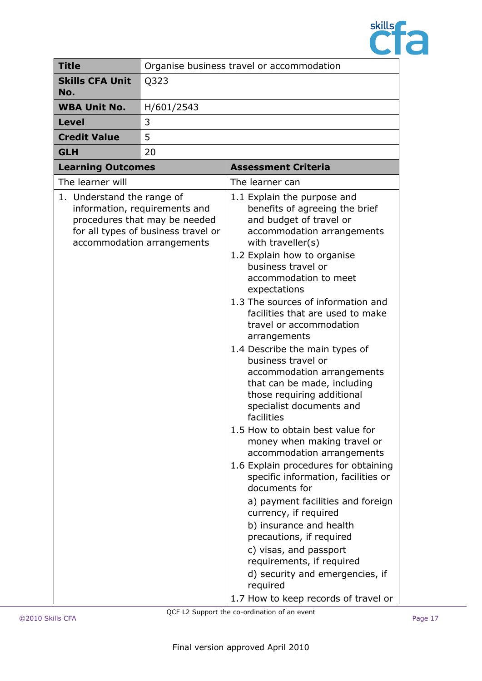

| <b>Title</b>                  | Organise business travel or accommodation                                                                                           |                                                                                                                                                                                                                                                                                                                                                                                                                                                                                                                                                                                                                                                                                                                                                                                                                                                                                                                                                                                                                                 |
|-------------------------------|-------------------------------------------------------------------------------------------------------------------------------------|---------------------------------------------------------------------------------------------------------------------------------------------------------------------------------------------------------------------------------------------------------------------------------------------------------------------------------------------------------------------------------------------------------------------------------------------------------------------------------------------------------------------------------------------------------------------------------------------------------------------------------------------------------------------------------------------------------------------------------------------------------------------------------------------------------------------------------------------------------------------------------------------------------------------------------------------------------------------------------------------------------------------------------|
| <b>Skills CFA Unit</b><br>No. | Q323                                                                                                                                |                                                                                                                                                                                                                                                                                                                                                                                                                                                                                                                                                                                                                                                                                                                                                                                                                                                                                                                                                                                                                                 |
| <b>WBA Unit No.</b>           | H/601/2543                                                                                                                          |                                                                                                                                                                                                                                                                                                                                                                                                                                                                                                                                                                                                                                                                                                                                                                                                                                                                                                                                                                                                                                 |
| <b>Level</b>                  | 3                                                                                                                                   |                                                                                                                                                                                                                                                                                                                                                                                                                                                                                                                                                                                                                                                                                                                                                                                                                                                                                                                                                                                                                                 |
| <b>Credit Value</b>           | 5                                                                                                                                   |                                                                                                                                                                                                                                                                                                                                                                                                                                                                                                                                                                                                                                                                                                                                                                                                                                                                                                                                                                                                                                 |
| <b>GLH</b>                    | 20                                                                                                                                  |                                                                                                                                                                                                                                                                                                                                                                                                                                                                                                                                                                                                                                                                                                                                                                                                                                                                                                                                                                                                                                 |
| <b>Learning Outcomes</b>      |                                                                                                                                     | <b>Assessment Criteria</b>                                                                                                                                                                                                                                                                                                                                                                                                                                                                                                                                                                                                                                                                                                                                                                                                                                                                                                                                                                                                      |
| The learner will              |                                                                                                                                     | The learner can                                                                                                                                                                                                                                                                                                                                                                                                                                                                                                                                                                                                                                                                                                                                                                                                                                                                                                                                                                                                                 |
| 1. Understand the range of    | information, requirements and<br>procedures that may be needed<br>for all types of business travel or<br>accommodation arrangements | 1.1 Explain the purpose and<br>benefits of agreeing the brief<br>and budget of travel or<br>accommodation arrangements<br>with traveller(s)<br>1.2 Explain how to organise<br>business travel or<br>accommodation to meet<br>expectations<br>1.3 The sources of information and<br>facilities that are used to make<br>travel or accommodation<br>arrangements<br>1.4 Describe the main types of<br>business travel or<br>accommodation arrangements<br>that can be made, including<br>those requiring additional<br>specialist documents and<br>facilities<br>1.5 How to obtain best value for<br>money when making travel or<br>accommodation arrangements<br>1.6 Explain procedures for obtaining<br>specific information, facilities or<br>documents for<br>a) payment facilities and foreign<br>currency, if required<br>b) insurance and health<br>precautions, if required<br>c) visas, and passport<br>requirements, if required<br>d) security and emergencies, if<br>required<br>1.7 How to keep records of travel or |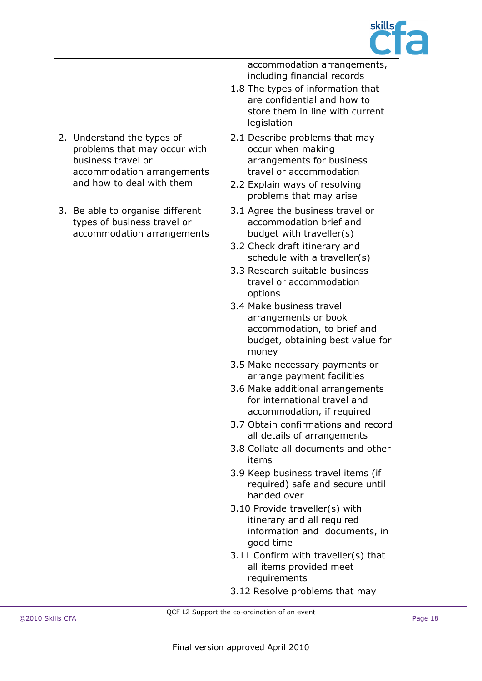

|                                                                                                                                             | accommodation arrangements,<br>including financial records<br>1.8 The types of information that<br>are confidential and how to<br>store them in line with current<br>legislation                                                                                                                                                                                                                                                                                                                                                                                                                                                                                                                                                                                                                                                                                                                                                                                                   |
|---------------------------------------------------------------------------------------------------------------------------------------------|------------------------------------------------------------------------------------------------------------------------------------------------------------------------------------------------------------------------------------------------------------------------------------------------------------------------------------------------------------------------------------------------------------------------------------------------------------------------------------------------------------------------------------------------------------------------------------------------------------------------------------------------------------------------------------------------------------------------------------------------------------------------------------------------------------------------------------------------------------------------------------------------------------------------------------------------------------------------------------|
| 2. Understand the types of<br>problems that may occur with<br>business travel or<br>accommodation arrangements<br>and how to deal with them | 2.1 Describe problems that may<br>occur when making<br>arrangements for business<br>travel or accommodation<br>2.2 Explain ways of resolving<br>problems that may arise                                                                                                                                                                                                                                                                                                                                                                                                                                                                                                                                                                                                                                                                                                                                                                                                            |
| 3. Be able to organise different<br>types of business travel or<br>accommodation arrangements                                               | 3.1 Agree the business travel or<br>accommodation brief and<br>budget with traveller(s)<br>3.2 Check draft itinerary and<br>schedule with a traveller(s)<br>3.3 Research suitable business<br>travel or accommodation<br>options<br>3.4 Make business travel<br>arrangements or book<br>accommodation, to brief and<br>budget, obtaining best value for<br>money<br>3.5 Make necessary payments or<br>arrange payment facilities<br>3.6 Make additional arrangements<br>for international travel and<br>accommodation, if required<br>3.7 Obtain confirmations and record<br>all details of arrangements<br>3.8 Collate all documents and other<br>items<br>3.9 Keep business travel items (if<br>required) safe and secure until<br>handed over<br>3.10 Provide traveller(s) with<br>itinerary and all required<br>information and documents, in<br>good time<br>3.11 Confirm with traveller(s) that<br>all items provided meet<br>requirements<br>3.12 Resolve problems that may |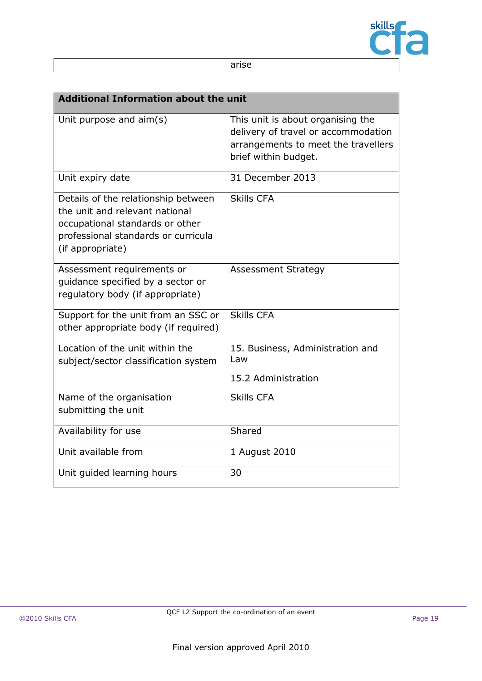

| . .<br>× | M.<br>M.<br>۰. |
|----------|----------------|

|                                                                                                                                                                     | <b>Additional Information about the unit</b>                                                                                            |  |
|---------------------------------------------------------------------------------------------------------------------------------------------------------------------|-----------------------------------------------------------------------------------------------------------------------------------------|--|
| Unit purpose and aim(s)                                                                                                                                             | This unit is about organising the<br>delivery of travel or accommodation<br>arrangements to meet the travellers<br>brief within budget. |  |
| Unit expiry date                                                                                                                                                    | 31 December 2013                                                                                                                        |  |
| Details of the relationship between<br>the unit and relevant national<br>occupational standards or other<br>professional standards or curricula<br>(if appropriate) | <b>Skills CFA</b>                                                                                                                       |  |
| Assessment requirements or<br>guidance specified by a sector or<br>regulatory body (if appropriate)                                                                 | <b>Assessment Strategy</b>                                                                                                              |  |
| Support for the unit from an SSC or<br>other appropriate body (if required)                                                                                         | <b>Skills CFA</b>                                                                                                                       |  |
| Location of the unit within the<br>subject/sector classification system                                                                                             | 15. Business, Administration and<br>Law<br>15.2 Administration                                                                          |  |
| Name of the organisation<br>submitting the unit                                                                                                                     | <b>Skills CFA</b>                                                                                                                       |  |
| Availability for use                                                                                                                                                | Shared                                                                                                                                  |  |
| Unit available from                                                                                                                                                 | 1 August 2010                                                                                                                           |  |
| Unit guided learning hours                                                                                                                                          | 30                                                                                                                                      |  |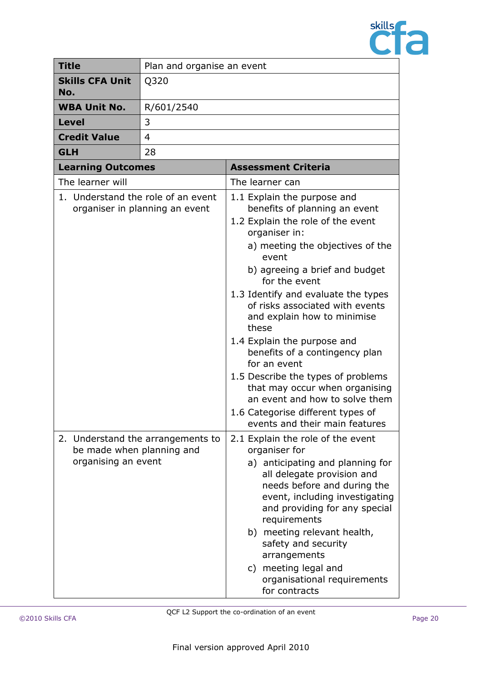

| <b>Title</b>                                     | Plan and organise an event        |                                                                                                                                                                                                                                                                                                                                                                                                                                                                                                                                                                                                        |
|--------------------------------------------------|-----------------------------------|--------------------------------------------------------------------------------------------------------------------------------------------------------------------------------------------------------------------------------------------------------------------------------------------------------------------------------------------------------------------------------------------------------------------------------------------------------------------------------------------------------------------------------------------------------------------------------------------------------|
| <b>Skills CFA Unit</b><br>No.                    | Q320                              |                                                                                                                                                                                                                                                                                                                                                                                                                                                                                                                                                                                                        |
| <b>WBA Unit No.</b>                              | R/601/2540                        |                                                                                                                                                                                                                                                                                                                                                                                                                                                                                                                                                                                                        |
| <b>Level</b>                                     | 3                                 |                                                                                                                                                                                                                                                                                                                                                                                                                                                                                                                                                                                                        |
| <b>Credit Value</b>                              | 4                                 |                                                                                                                                                                                                                                                                                                                                                                                                                                                                                                                                                                                                        |
| <b>GLH</b>                                       | 28                                |                                                                                                                                                                                                                                                                                                                                                                                                                                                                                                                                                                                                        |
| <b>Learning Outcomes</b>                         |                                   | <b>Assessment Criteria</b>                                                                                                                                                                                                                                                                                                                                                                                                                                                                                                                                                                             |
| The learner will                                 |                                   | The learner can                                                                                                                                                                                                                                                                                                                                                                                                                                                                                                                                                                                        |
| 1. Understand the role of an event               | organiser in planning an event    | 1.1 Explain the purpose and<br>benefits of planning an event<br>1.2 Explain the role of the event<br>organiser in:<br>a) meeting the objectives of the<br>event<br>b) agreeing a brief and budget<br>for the event<br>1.3 Identify and evaluate the types<br>of risks associated with events<br>and explain how to minimise<br>these<br>1.4 Explain the purpose and<br>benefits of a contingency plan<br>for an event<br>1.5 Describe the types of problems<br>that may occur when organising<br>an event and how to solve them<br>1.6 Categorise different types of<br>events and their main features |
| be made when planning and<br>organising an event | 2. Understand the arrangements to | 2.1 Explain the role of the event<br>organiser for<br>a) anticipating and planning for<br>all delegate provision and<br>needs before and during the<br>event, including investigating<br>and providing for any special<br>requirements<br>b) meeting relevant health,<br>safety and security<br>arrangements<br>c) meeting legal and<br>organisational requirements<br>for contracts                                                                                                                                                                                                                   |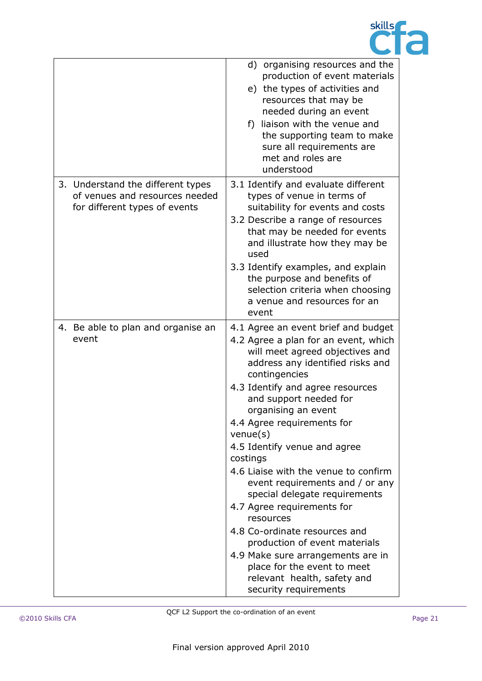

|                                                                                                      | d) organising resources and the<br>production of event materials<br>e) the types of activities and<br>resources that may be<br>needed during an event<br>f) liaison with the venue and<br>the supporting team to make<br>sure all requirements are<br>met and roles are<br>understood                                                                                                                                                                                                                                                                                                                                                                                                                     |
|------------------------------------------------------------------------------------------------------|-----------------------------------------------------------------------------------------------------------------------------------------------------------------------------------------------------------------------------------------------------------------------------------------------------------------------------------------------------------------------------------------------------------------------------------------------------------------------------------------------------------------------------------------------------------------------------------------------------------------------------------------------------------------------------------------------------------|
| 3. Understand the different types<br>of venues and resources needed<br>for different types of events | 3.1 Identify and evaluate different<br>types of venue in terms of<br>suitability for events and costs<br>3.2 Describe a range of resources<br>that may be needed for events<br>and illustrate how they may be<br>used<br>3.3 Identify examples, and explain<br>the purpose and benefits of<br>selection criteria when choosing<br>a venue and resources for an<br>event                                                                                                                                                                                                                                                                                                                                   |
| 4. Be able to plan and organise an<br>event                                                          | 4.1 Agree an event brief and budget<br>4.2 Agree a plan for an event, which<br>will meet agreed objectives and<br>address any identified risks and<br>contingencies<br>4.3 Identify and agree resources<br>and support needed for<br>organising an event<br>4.4 Agree requirements for<br>$v$ enue $(s)$<br>4.5 Identify venue and agree<br>costings<br>4.6 Liaise with the venue to confirm<br>event requirements and / or any<br>special delegate requirements<br>4.7 Agree requirements for<br>resources<br>4.8 Co-ordinate resources and<br>production of event materials<br>4.9 Make sure arrangements are in<br>place for the event to meet<br>relevant health, safety and<br>security requirements |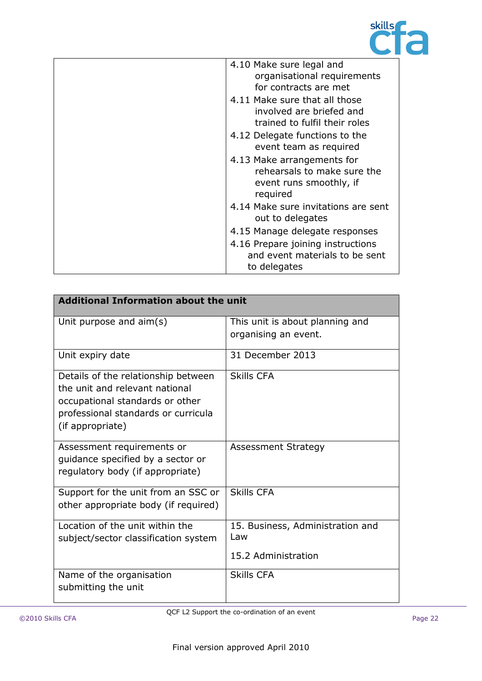

| 4.10 Make sure legal and<br>organisational requirements<br>for contracts are met                 |
|--------------------------------------------------------------------------------------------------|
| 4.11 Make sure that all those<br>involved are briefed and<br>trained to fulfil their roles       |
| 4.12 Delegate functions to the<br>event team as required                                         |
| 4.13 Make arrangements for<br>rehearsals to make sure the<br>event runs smoothly, if<br>required |
| 4.14 Make sure invitations are sent<br>out to delegates                                          |
| 4.15 Manage delegate responses                                                                   |
| 4.16 Prepare joining instructions<br>and event materials to be sent<br>to delegates              |

| <b>Additional Information about the unit</b>                                                                                                                        |                                                                |
|---------------------------------------------------------------------------------------------------------------------------------------------------------------------|----------------------------------------------------------------|
| Unit purpose and aim(s)                                                                                                                                             | This unit is about planning and<br>organising an event.        |
| Unit expiry date                                                                                                                                                    | 31 December 2013                                               |
| Details of the relationship between<br>the unit and relevant national<br>occupational standards or other<br>professional standards or curricula<br>(if appropriate) | <b>Skills CFA</b>                                              |
| Assessment requirements or<br>guidance specified by a sector or<br>regulatory body (if appropriate)                                                                 | <b>Assessment Strategy</b>                                     |
| Support for the unit from an SSC or<br>other appropriate body (if required)                                                                                         | <b>Skills CFA</b>                                              |
| Location of the unit within the<br>subject/sector classification system                                                                                             | 15. Business, Administration and<br>Law<br>15.2 Administration |
| Name of the organisation<br>submitting the unit                                                                                                                     | <b>Skills CFA</b>                                              |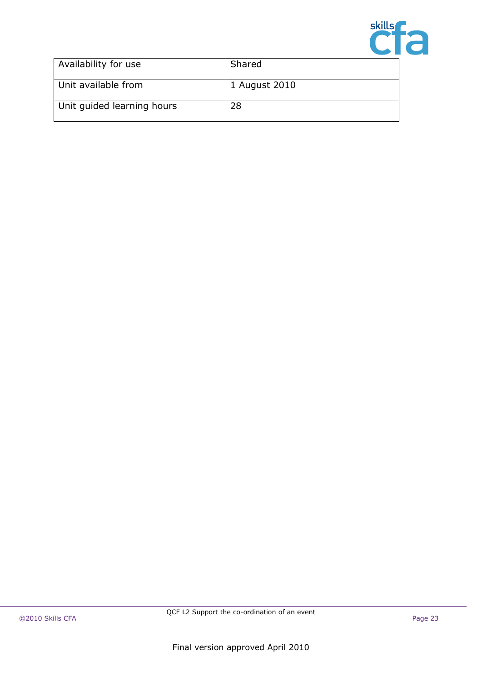

| Availability for use       | Shared        |
|----------------------------|---------------|
| Unit available from        | 1 August 2010 |
| Unit quided learning hours | 28            |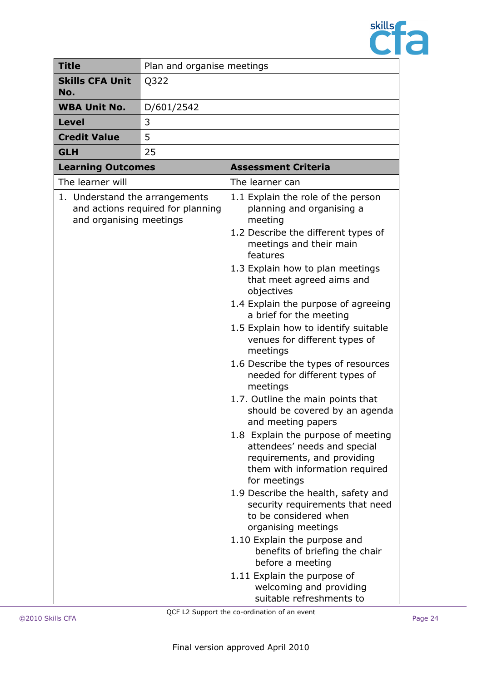

| <b>Title</b>                                              | Plan and organise meetings        |                                                                                                                                                                                                                                                                                                                                                                                                                                                                                                                                                                                                                                                                                                                                                                                                                                                                                                                                                                                                                                              |
|-----------------------------------------------------------|-----------------------------------|----------------------------------------------------------------------------------------------------------------------------------------------------------------------------------------------------------------------------------------------------------------------------------------------------------------------------------------------------------------------------------------------------------------------------------------------------------------------------------------------------------------------------------------------------------------------------------------------------------------------------------------------------------------------------------------------------------------------------------------------------------------------------------------------------------------------------------------------------------------------------------------------------------------------------------------------------------------------------------------------------------------------------------------------|
| <b>Skills CFA Unit</b><br>No.                             | Q322                              |                                                                                                                                                                                                                                                                                                                                                                                                                                                                                                                                                                                                                                                                                                                                                                                                                                                                                                                                                                                                                                              |
| <b>WBA Unit No.</b>                                       | D/601/2542                        |                                                                                                                                                                                                                                                                                                                                                                                                                                                                                                                                                                                                                                                                                                                                                                                                                                                                                                                                                                                                                                              |
| <b>Level</b>                                              | 3                                 |                                                                                                                                                                                                                                                                                                                                                                                                                                                                                                                                                                                                                                                                                                                                                                                                                                                                                                                                                                                                                                              |
| <b>Credit Value</b>                                       | 5                                 |                                                                                                                                                                                                                                                                                                                                                                                                                                                                                                                                                                                                                                                                                                                                                                                                                                                                                                                                                                                                                                              |
| <b>GLH</b>                                                | 25                                |                                                                                                                                                                                                                                                                                                                                                                                                                                                                                                                                                                                                                                                                                                                                                                                                                                                                                                                                                                                                                                              |
| <b>Learning Outcomes</b>                                  |                                   | <b>Assessment Criteria</b>                                                                                                                                                                                                                                                                                                                                                                                                                                                                                                                                                                                                                                                                                                                                                                                                                                                                                                                                                                                                                   |
| The learner will                                          |                                   | The learner can                                                                                                                                                                                                                                                                                                                                                                                                                                                                                                                                                                                                                                                                                                                                                                                                                                                                                                                                                                                                                              |
| 1. Understand the arrangements<br>and organising meetings | and actions required for planning | 1.1 Explain the role of the person<br>planning and organising a<br>meeting<br>1.2 Describe the different types of<br>meetings and their main<br>features<br>1.3 Explain how to plan meetings<br>that meet agreed aims and<br>objectives<br>1.4 Explain the purpose of agreeing<br>a brief for the meeting<br>1.5 Explain how to identify suitable<br>venues for different types of<br>meetings<br>1.6 Describe the types of resources<br>needed for different types of<br>meetings<br>1.7. Outline the main points that<br>should be covered by an agenda<br>and meeting papers<br>1.8 Explain the purpose of meeting<br>attendees' needs and special<br>requirements, and providing<br>them with information required<br>for meetings<br>1.9 Describe the health, safety and<br>security requirements that need<br>to be considered when<br>organising meetings<br>1.10 Explain the purpose and<br>benefits of briefing the chair<br>before a meeting<br>1.11 Explain the purpose of<br>welcoming and providing<br>suitable refreshments to |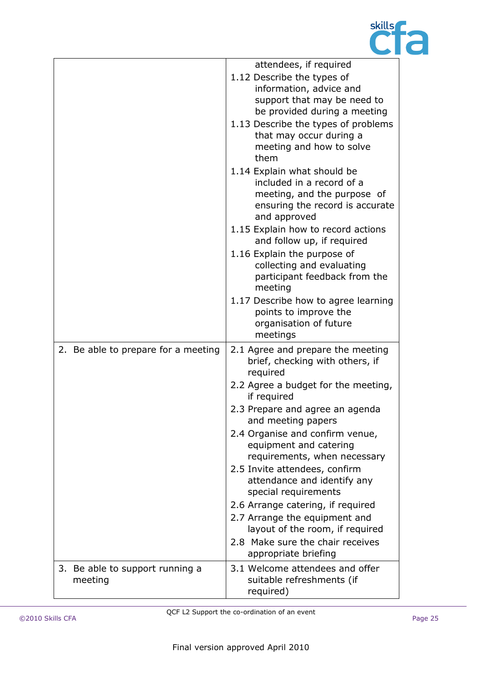

|                                            | attendees, if required                                                           |
|--------------------------------------------|----------------------------------------------------------------------------------|
|                                            | 1.12 Describe the types of                                                       |
|                                            | information, advice and<br>support that may be need to                           |
|                                            | be provided during a meeting                                                     |
|                                            | 1.13 Describe the types of problems                                              |
|                                            | that may occur during a<br>meeting and how to solve                              |
|                                            | them                                                                             |
|                                            | 1.14 Explain what should be                                                      |
|                                            | included in a record of a<br>meeting, and the purpose of                         |
|                                            | ensuring the record is accurate<br>and approved                                  |
|                                            | 1.15 Explain how to record actions<br>and follow up, if required                 |
|                                            | 1.16 Explain the purpose of                                                      |
|                                            | collecting and evaluating<br>participant feedback from the                       |
|                                            | meeting                                                                          |
|                                            | 1.17 Describe how to agree learning                                              |
|                                            | points to improve the<br>organisation of future                                  |
|                                            | meetings                                                                         |
| 2. Be able to prepare for a meeting        | 2.1 Agree and prepare the meeting<br>brief, checking with others, if<br>required |
|                                            | 2.2 Agree a budget for the meeting,<br>if required                               |
|                                            | 2.3 Prepare and agree an agenda<br>and meeting papers                            |
|                                            | 2.4 Organise and confirm venue,                                                  |
|                                            | equipment and catering<br>requirements, when necessary                           |
|                                            | 2.5 Invite attendees, confirm                                                    |
|                                            | attendance and identify any<br>special requirements                              |
|                                            | 2.6 Arrange catering, if required                                                |
|                                            | 2.7 Arrange the equipment and                                                    |
|                                            | layout of the room, if required                                                  |
|                                            | 2.8 Make sure the chair receives<br>appropriate briefing                         |
| 3. Be able to support running a<br>meeting | 3.1 Welcome attendees and offer<br>suitable refreshments (if<br>required)        |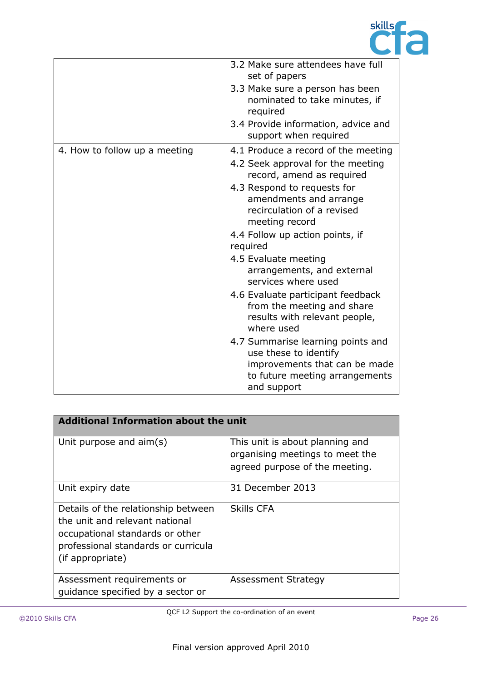

|                               | 3.2 Make sure attendees have full<br>set of papers<br>3.3 Make sure a person has been<br>nominated to take minutes, if<br>required<br>3.4 Provide information, advice and<br>support when required                                                                                                                                                                                                                                                                                                                                                                                                           |
|-------------------------------|--------------------------------------------------------------------------------------------------------------------------------------------------------------------------------------------------------------------------------------------------------------------------------------------------------------------------------------------------------------------------------------------------------------------------------------------------------------------------------------------------------------------------------------------------------------------------------------------------------------|
| 4. How to follow up a meeting | 4.1 Produce a record of the meeting<br>4.2 Seek approval for the meeting<br>record, amend as required<br>4.3 Respond to requests for<br>amendments and arrange<br>recirculation of a revised<br>meeting record<br>4.4 Follow up action points, if<br>required<br>4.5 Evaluate meeting<br>arrangements, and external<br>services where used<br>4.6 Evaluate participant feedback<br>from the meeting and share<br>results with relevant people,<br>where used<br>4.7 Summarise learning points and<br>use these to identify<br>improvements that can be made<br>to future meeting arrangements<br>and support |

| <b>Additional Information about the unit</b>                                                                                                                        |                                                                                                      |
|---------------------------------------------------------------------------------------------------------------------------------------------------------------------|------------------------------------------------------------------------------------------------------|
| Unit purpose and aim(s)                                                                                                                                             | This unit is about planning and<br>organising meetings to meet the<br>agreed purpose of the meeting. |
| Unit expiry date                                                                                                                                                    | 31 December 2013                                                                                     |
| Details of the relationship between<br>the unit and relevant national<br>occupational standards or other<br>professional standards or curricula<br>(if appropriate) | <b>Skills CFA</b>                                                                                    |
| Assessment requirements or<br>quidance specified by a sector or                                                                                                     | <b>Assessment Strategy</b>                                                                           |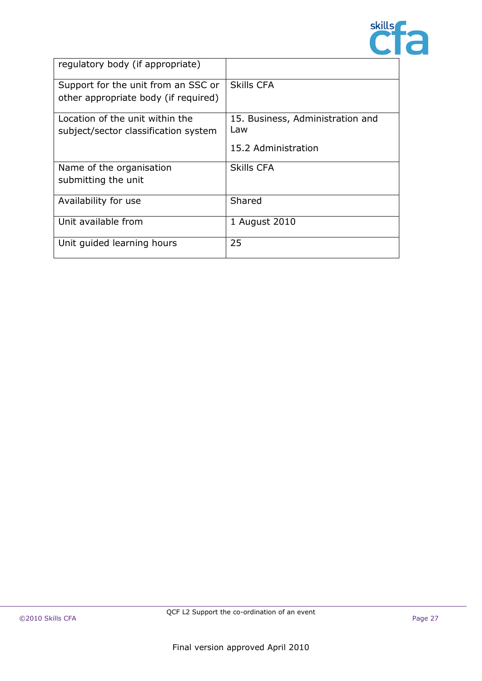

| regulatory body (if appropriate)     |                                  |
|--------------------------------------|----------------------------------|
| Support for the unit from an SSC or  | Skills CFA                       |
| other appropriate body (if required) |                                  |
| Location of the unit within the      | 15. Business, Administration and |
| subject/sector classification system | Law                              |
|                                      | 15.2 Administration              |
| Name of the organisation             | <b>Skills CFA</b>                |
| submitting the unit                  |                                  |
| Availability for use                 | Shared                           |
| Unit available from                  | 1 August 2010                    |
| Unit guided learning hours           | 25                               |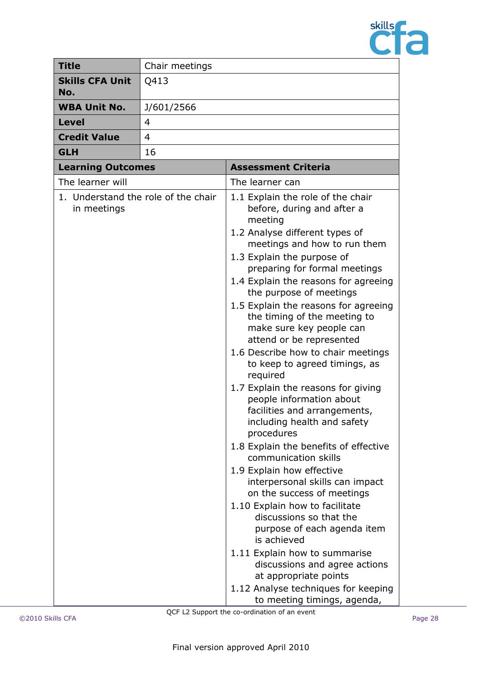

| <b>Title</b>                                       | Chair meetings |                                                                                                                                                                                                                                                                                                                                                                                                                                                                                                                                                                                                                                                                                                                                                                                                                                                                                                                                                                                                                                                                                             |
|----------------------------------------------------|----------------|---------------------------------------------------------------------------------------------------------------------------------------------------------------------------------------------------------------------------------------------------------------------------------------------------------------------------------------------------------------------------------------------------------------------------------------------------------------------------------------------------------------------------------------------------------------------------------------------------------------------------------------------------------------------------------------------------------------------------------------------------------------------------------------------------------------------------------------------------------------------------------------------------------------------------------------------------------------------------------------------------------------------------------------------------------------------------------------------|
| <b>Skills CFA Unit</b><br>No.                      | Q413           |                                                                                                                                                                                                                                                                                                                                                                                                                                                                                                                                                                                                                                                                                                                                                                                                                                                                                                                                                                                                                                                                                             |
| <b>WBA Unit No.</b>                                | J/601/2566     |                                                                                                                                                                                                                                                                                                                                                                                                                                                                                                                                                                                                                                                                                                                                                                                                                                                                                                                                                                                                                                                                                             |
| <b>Level</b>                                       | 4              |                                                                                                                                                                                                                                                                                                                                                                                                                                                                                                                                                                                                                                                                                                                                                                                                                                                                                                                                                                                                                                                                                             |
| <b>Credit Value</b>                                | 4              |                                                                                                                                                                                                                                                                                                                                                                                                                                                                                                                                                                                                                                                                                                                                                                                                                                                                                                                                                                                                                                                                                             |
| <b>GLH</b>                                         | 16             |                                                                                                                                                                                                                                                                                                                                                                                                                                                                                                                                                                                                                                                                                                                                                                                                                                                                                                                                                                                                                                                                                             |
| <b>Learning Outcomes</b>                           |                | <b>Assessment Criteria</b>                                                                                                                                                                                                                                                                                                                                                                                                                                                                                                                                                                                                                                                                                                                                                                                                                                                                                                                                                                                                                                                                  |
| The learner will                                   |                | The learner can                                                                                                                                                                                                                                                                                                                                                                                                                                                                                                                                                                                                                                                                                                                                                                                                                                                                                                                                                                                                                                                                             |
| 1. Understand the role of the chair<br>in meetings |                | 1.1 Explain the role of the chair<br>before, during and after a<br>meeting<br>1.2 Analyse different types of<br>meetings and how to run them<br>1.3 Explain the purpose of<br>preparing for formal meetings<br>1.4 Explain the reasons for agreeing<br>the purpose of meetings<br>1.5 Explain the reasons for agreeing<br>the timing of the meeting to<br>make sure key people can<br>attend or be represented<br>1.6 Describe how to chair meetings<br>to keep to agreed timings, as<br>required<br>1.7 Explain the reasons for giving<br>people information about<br>facilities and arrangements,<br>including health and safety<br>procedures<br>1.8 Explain the benefits of effective<br>communication skills<br>1.9 Explain how effective<br>interpersonal skills can impact<br>on the success of meetings<br>1.10 Explain how to facilitate<br>discussions so that the<br>purpose of each agenda item<br>is achieved<br>1.11 Explain how to summarise<br>discussions and agree actions<br>at appropriate points<br>1.12 Analyse techniques for keeping<br>to meeting timings, agenda, |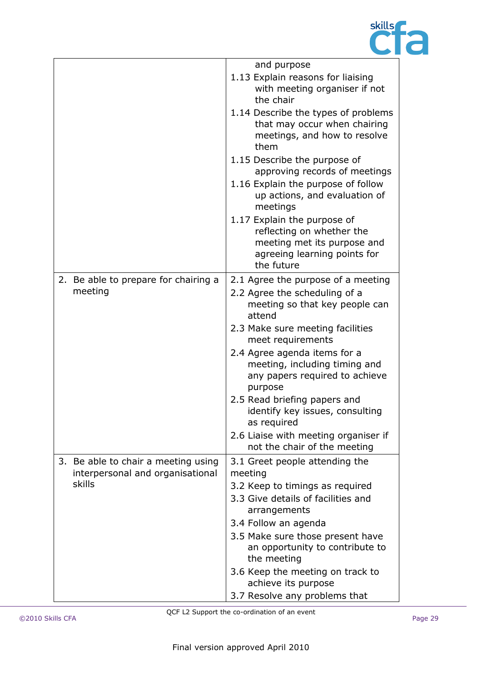

|                                                                         | and purpose                                                                                                                           |
|-------------------------------------------------------------------------|---------------------------------------------------------------------------------------------------------------------------------------|
|                                                                         | 1.13 Explain reasons for liaising<br>with meeting organiser if not<br>the chair                                                       |
|                                                                         | 1.14 Describe the types of problems<br>that may occur when chairing<br>meetings, and how to resolve<br>them                           |
|                                                                         | 1.15 Describe the purpose of<br>approving records of meetings                                                                         |
|                                                                         | 1.16 Explain the purpose of follow<br>up actions, and evaluation of<br>meetings                                                       |
|                                                                         | 1.17 Explain the purpose of<br>reflecting on whether the<br>meeting met its purpose and<br>agreeing learning points for<br>the future |
| 2. Be able to prepare for chairing a                                    | 2.1 Agree the purpose of a meeting                                                                                                    |
| meeting                                                                 | 2.2 Agree the scheduling of a<br>meeting so that key people can<br>attend                                                             |
|                                                                         | 2.3 Make sure meeting facilities<br>meet requirements                                                                                 |
|                                                                         | 2.4 Agree agenda items for a<br>meeting, including timing and<br>any papers required to achieve<br>purpose                            |
|                                                                         | 2.5 Read briefing papers and<br>identify key issues, consulting<br>as required                                                        |
|                                                                         | 2.6 Liaise with meeting organiser if<br>not the chair of the meeting                                                                  |
| 3. Be able to chair a meeting using<br>interpersonal and organisational | 3.1 Greet people attending the<br>meeting                                                                                             |
| skills                                                                  | 3.2 Keep to timings as required                                                                                                       |
|                                                                         | 3.3 Give details of facilities and<br>arrangements                                                                                    |
|                                                                         | 3.4 Follow an agenda                                                                                                                  |
|                                                                         | 3.5 Make sure those present have<br>an opportunity to contribute to<br>the meeting                                                    |
|                                                                         | 3.6 Keep the meeting on track to<br>achieve its purpose                                                                               |
|                                                                         | 3.7 Resolve any problems that                                                                                                         |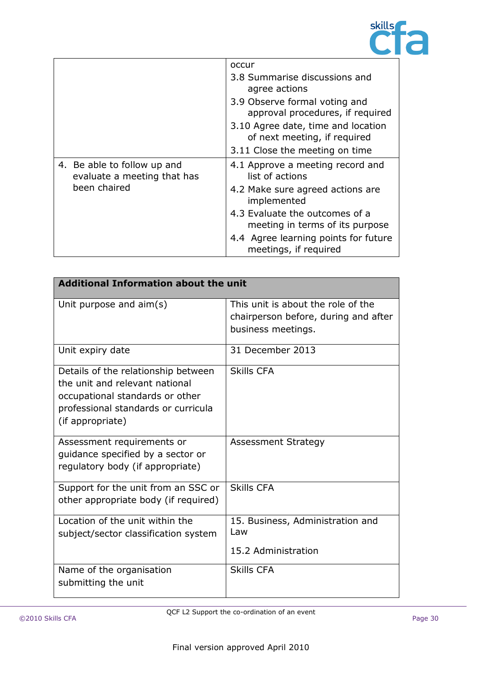

|                                                            | occur                                                              |
|------------------------------------------------------------|--------------------------------------------------------------------|
|                                                            | 3.8 Summarise discussions and<br>agree actions                     |
|                                                            | 3.9 Observe formal voting and<br>approval procedures, if required  |
|                                                            | 3.10 Agree date, time and location<br>of next meeting, if required |
|                                                            | 3.11 Close the meeting on time                                     |
| 4. Be able to follow up and<br>evaluate a meeting that has | 4.1 Approve a meeting record and<br>list of actions                |
| been chaired                                               | 4.2 Make sure agreed actions are<br>implemented                    |
|                                                            | 4.3 Evaluate the outcomes of a<br>meeting in terms of its purpose  |
|                                                            | 4.4 Agree learning points for future<br>meetings, if required      |

| <b>Additional Information about the unit</b>                                                                                                                        |                                                                                                  |  |
|---------------------------------------------------------------------------------------------------------------------------------------------------------------------|--------------------------------------------------------------------------------------------------|--|
| Unit purpose and $\text{aim}(s)$                                                                                                                                    | This unit is about the role of the<br>chairperson before, during and after<br>business meetings. |  |
| Unit expiry date                                                                                                                                                    | 31 December 2013                                                                                 |  |
| Details of the relationship between<br>the unit and relevant national<br>occupational standards or other<br>professional standards or curricula<br>(if appropriate) | <b>Skills CFA</b>                                                                                |  |
| Assessment requirements or<br>guidance specified by a sector or<br>regulatory body (if appropriate)                                                                 | <b>Assessment Strategy</b>                                                                       |  |
| Support for the unit from an SSC or<br>other appropriate body (if required)                                                                                         | <b>Skills CFA</b>                                                                                |  |
| Location of the unit within the<br>subject/sector classification system                                                                                             | 15. Business, Administration and<br>Law<br>15.2 Administration                                   |  |
| Name of the organisation<br>submitting the unit                                                                                                                     | <b>Skills CFA</b>                                                                                |  |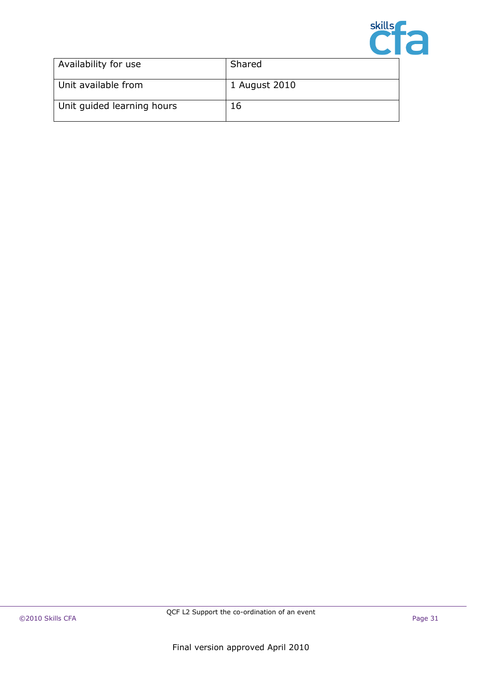

| Availability for use       | Shared        |
|----------------------------|---------------|
| Unit available from        | 1 August 2010 |
| Unit quided learning hours | 16            |